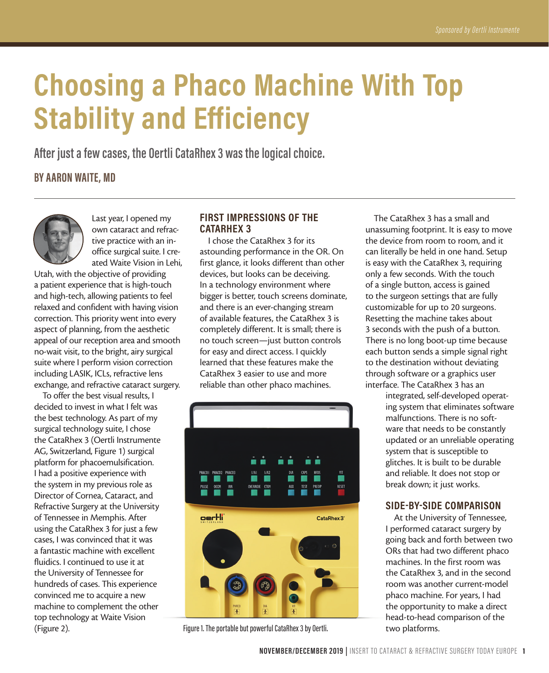# **Choosing a Phaco Machine With Top Stability and Efficiency**

**After just a few cases, the Oertli CataRhex 3 was the logical choice.**

**BY AARON WAITE, MD**



Last year, I opened my own cataract and refractive practice with an inoffice surgical suite. I created Waite Vision in Lehi,

Utah, with the objective of providing a patient experience that is high-touch and high-tech, allowing patients to feel relaxed and confident with having vision correction. This priority went into every aspect of planning, from the aesthetic appeal of our reception area and smooth no-wait visit, to the bright, airy surgical suite where I perform vision correction including LASIK, ICLs, refractive lens exchange, and refractive cataract surgery.

To offer the best visual results, I decided to invest in what I felt was the best technology. As part of my surgical technology suite, I chose the CataRhex 3 (Oertli Instrumente AG, Switzerland, Figure 1) surgical platform for phacoemulsification. I had a positive experience with the system in my previous role as Director of Cornea, Cataract, and Refractive Surgery at the University of Tennessee in Memphis. After using the CataRhex 3 for just a few cases, I was convinced that it was a fantastic machine with excellent fluidics. I continued to use it at the University of Tennessee for hundreds of cases. This experience convinced me to acquire a new machine to complement the other top technology at Waite Vision (Figure 2).

## **FIRST IMPRESSIONS OF THE CATARHEX 3**

I chose the CataRhex 3 for its astounding performance in the OR. On first glance, it looks different than other devices, but looks can be deceiving. In a technology environment where bigger is better, touch screens dominate, and there is an ever-changing stream of available features, the CataRhex 3 is completely different. It is small; there is no touch screen—just button controls for easy and direct access. I quickly learned that these features make the CataRhex 3 easier to use and more reliable than other phaco machines.



Figure 1. The portable but powerful CataRhex 3 by Oertli.

The CataRhex 3 has a small and unassuming footprint. It is easy to move the device from room to room, and it can literally be held in one hand. Setup is easy with the CataRhex 3, requiring only a few seconds. With the touch of a single button, access is gained to the surgeon settings that are fully customizable for up to 20 surgeons. Resetting the machine takes about 3 seconds with the push of a button. There is no long boot-up time because each button sends a simple signal right to the destination without deviating through software or a graphics user interface. The CataRhex 3 has an

> integrated, self-developed operating system that eliminates software malfunctions. There is no software that needs to be constantly updated or an unreliable operating system that is susceptible to glitches. It is built to be durable and reliable. It does not stop or break down; it just works.

## **SIDE-BY-SIDE COMPARISON**

At the University of Tennessee, I performed cataract surgery by going back and forth between two ORs that had two different phaco machines. In the first room was the CataRhex 3, and in the second room was another current-model phaco machine. For years, I had the opportunity to make a direct head-to-head comparison of the two platforms.